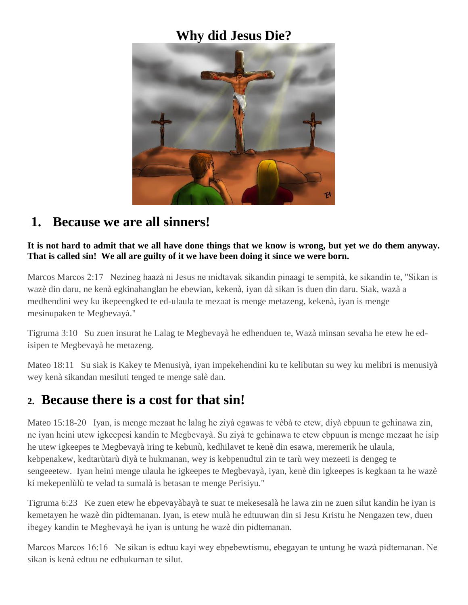### **Why did Jesus Die?**



### **1. Because we are all sinners!**

**It is not hard to admit that we all have done things that we know is wrong, but yet we do them anyway. That is called sin! We all are guilty of it we have been doing it since we were born.**

Marcos Marcos 2:17 Nezineg haazà ni Jesus ne midtavak sikandin pinaagi te sempità, ke sikandin te, "Sikan is wazè din daru, ne kenà egkinahanglan he ebewian, kekenà, iyan dà sikan is duen din daru. Siak, wazà a medhendini wey ku ikepeengked te ed-ulaula te mezaat is menge metazeng, kekenà, iyan is menge mesinupaken te Megbevayà."

Tigruma 3:10 Su zuen insurat he Lalag te Megbevayà he edhenduen te, Wazà minsan sevaha he etew he edisipen te Megbevayà he metazeng.

Mateo 18:11 Su siak is Kakey te Menusiyà, iyan impekehendini ku te kelibutan su wey ku melibri is menusiyà wey kenà sikandan mesiluti tenged te menge salè dan.

### **2. Because there is a cost for that sin!**

Mateo 15:18-20 Iyan, is menge mezaat he lalag he ziyà egawas te vèbà te etew, diyà ebpuun te gehinawa zin, ne iyan heini utew igkeepesi kandin te Megbevayà. Su ziyà te ǥehinawa te etew ebpuun is menge mezaat he isip he utew igkeepes te Megbevayà iring te kebunù, kedhilavet te kenè din esawa, meremerik he ulaula, kebpenakew, kedtarùtarù diyà te hukmanan, wey is kebpenudtul zin te tarù wey mezeeti is dengeg te sengeeetew. Iyan heini menge ulaula he igkeepes te Megbevayà, iyan, kenè din igkeepes is kegkaan ta he wazè ki mekepenlùlù te velad ta sumalà is betasan te menge Perisiyu."

Tigruma 6:23 Ke zuen etew he ebpevayàbayà te suat te mekesesalà he lawa zin ne zuen silut kandin he iyan is kemetayen he wazè din pidtemanan. Iyan, is etew mulà he edtuuwan din si Jesu Kristu he Nengazen tew, duen ibeǥey kandin te Megbevayà he iyan is untung he wazè din pidtemanan.

Marcos Marcos 16:16 Ne sikan is edtuu kayi wey ebpebewtismu, ebegayan te untung he wazà pidtemanan. Ne sikan is kenà edtuu ne edhukuman te silut.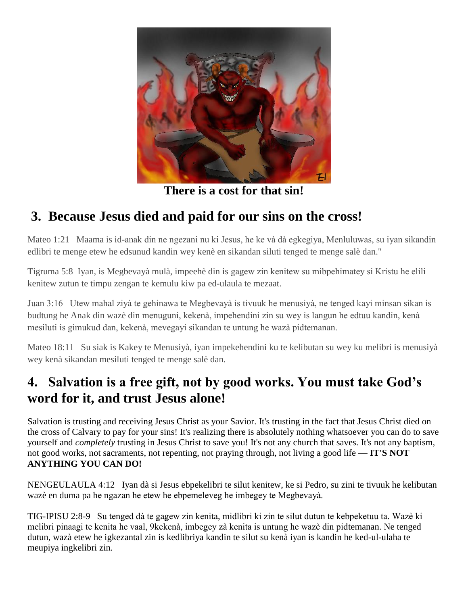

**There is a cost for that sin!**

## **3. Because Jesus died and paid for our sins on the cross!**

Mateo 1:21 Maama is id-anak din ne ngezani nu ki Jesus, he ke và dà egkeǥiya, Menluluwas, su iyan sikandin edlibri te menge etew he edsunud kandin wey kenè en sikandan siluti tenged te menge salè dan."

Tigruma 5:8 Iyan, is Megbevayà mulà, impeehè din is gagew zin kenitew su mibpehimatey si Kristu he elili kenitew zutun te timpu zengan te kemulu kiw pa ed-ulaula te mezaat.

Juan 3:16 Utew mahal ziyà te ǥehinawa te Megbevayà is tivuuk he menusiyà, ne tenged kayi minsan sikan is budtung he Anak din wazè din menuguni, kekenà, impehendini zin su wey is langun he edtuu kandin, kenà mesiluti is gimukud dan, kekenà, meveǥayi sikandan te untung he wazà pidtemanan.

Mateo 18:11 Su siak is Kakey te Menusiyà, iyan impekehendini ku te kelibutan su wey ku melibri is menusiyà wey kenà sikandan mesiluti tenged te menge salè dan.

### **4. Salvation is a free gift, not by good works. You must take God's word for it, and trust Jesus alone!**

Salvation is trusting and receiving Jesus Christ as your Savior. It's trusting in the fact that Jesus Christ died on the cross of Calvary to pay for your sins! It's realizing there is absolutely nothing whatsoever you can do to save yourself and *completely* trusting in Jesus Christ to save you! It's not any church that saves. It's not any baptism, not good works, not sacraments, not repenting, not praying through, not living a good life — **IT'S NOT ANYTHING YOU CAN DO!**

NENGEULAULA 4:12 Iyan dà si Jesus ebpekelibri te silut kenitew, ke si Pedro, su zini te tivuuk he kelibutan wazè en duma pa he ngazan he etew he ebpemeleveg he imbegey te Megbevayà.

TIG-IPISU 2:8-9 Su tenged dà te ǥaǥew zin kenita, midlibri ki zin te silut dutun te kebpeketuu ta. Wazè ki melibri pinaaǥi te kenita he vaal, 9kekenà, imbeǥey zà kenita is untung he wazè din pidtemanan. Ne tenged dutun, wazà etew he igkezantal zin is kedlibriya kandin te silut su kenà iyan is kandin he ked-ul-ulaha te meupiya ingkelibri zin.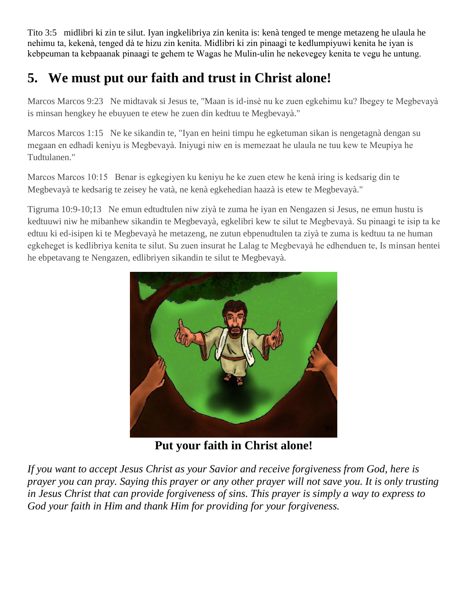Tito 3:5 midlibri ki zin te silut. Iyan ingkelibriya zin kenita is: kenà tenged te menge metazeng he ulaula he nehimu ta, kekenà, tenged dà te hizu zin kenita. Midlibri ki zin pinaaǥi te kedlumpiyuwi kenita he iyan is kebpeuman ta kebpaanak pinaagi te gehem te Wagas he Mulin-ulin he nekevegey kenita te vegu he untung.

# **5. We must put our faith and trust in Christ alone!**

Marcos Marcos 9:23 Ne midtavak si Jesus te, "Maan is id-insè nu ke zuen egkehimu ku? Ibegey te Megbevayà is minsan hengkey he ebuyuen te etew he zuen din kedtuu te Megbevayà."

Marcos Marcos 1:15 Ne ke sikandin te, "Iyan en heini timpu he egketuman sikan is nengetagnà dengan su meǥaan en edhadì keniyu is Megbevayà. Iniyuǥi niw en is memezaat he ulaula ne tuu kew te Meupiya he Tudtulanen."

Marcos Marcos 10:15 Benar is egkegiyen ku keniyu he ke zuen etew he kenà iring is kedsarig din te Megbevayà te kedsarig te zeisey he vatà, ne kenà egkehedian haazà is etew te Megbevayà."

Tigruma 10:9-10;13 Ne emun edtudtulen niw ziyà te zuma he iyan en Nengazen si Jesus, ne emun hustu is kedtuuwi niw he mibanhew sikandin te Megbevayà, egkelibri kew te silut te Megbevayà. Su pinaaǥi te isip ta ke edtuu ki ed-isipen ki te Megbevayà he metazeng, ne zutun ebpenudtulen ta ziyà te zuma is kedtuu ta ne human egkeheǥet is kedlibriya kenita te silut. Su zuen insurat he Lalag te Megbevayà he edhenduen te, Is minsan hentei he ebpetavang te Nengazen, edlibriyen sikandin te silut te Megbevayà.



**Put your faith in Christ alone!**

*If you want to accept Jesus Christ as your Savior and receive forgiveness from God, here is prayer you can pray. Saying this prayer or any other prayer will not save you. It is only trusting in Jesus Christ that can provide forgiveness of sins. This prayer is simply a way to express to God your faith in Him and thank Him for providing for your forgiveness.*